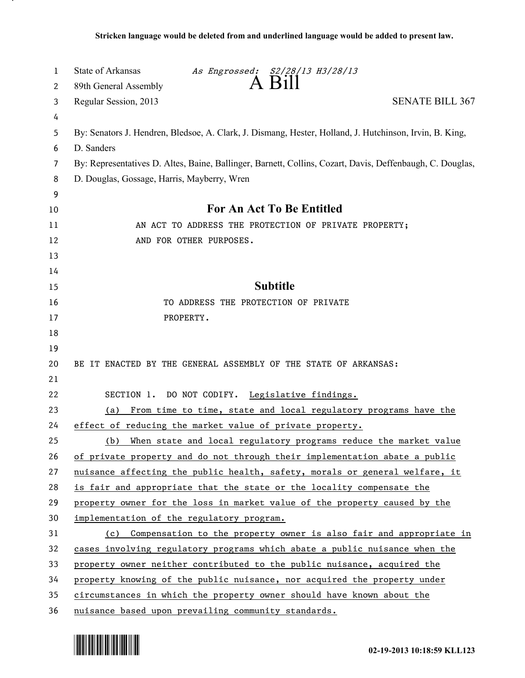| 1       | State of Arkansas<br>As Engrossed: S2/28/13 H3/28/13<br>A Bill                                            |
|---------|-----------------------------------------------------------------------------------------------------------|
| 2       | 89th General Assembly                                                                                     |
| 3       | <b>SENATE BILL 367</b><br>Regular Session, 2013                                                           |
| 4       |                                                                                                           |
| 5       | By: Senators J. Hendren, Bledsoe, A. Clark, J. Dismang, Hester, Holland, J. Hutchinson, Irvin, B. King,   |
| 6       | D. Sanders                                                                                                |
| 7       | By: Representatives D. Altes, Baine, Ballinger, Barnett, Collins, Cozart, Davis, Deffenbaugh, C. Douglas, |
| 8       | D. Douglas, Gossage, Harris, Mayberry, Wren                                                               |
| 9<br>10 | For An Act To Be Entitled                                                                                 |
| 11      | AN ACT TO ADDRESS THE PROTECTION OF PRIVATE PROPERTY;                                                     |
| 12      | AND FOR OTHER PURPOSES.                                                                                   |
| 13      |                                                                                                           |
| 14      |                                                                                                           |
| 15      | <b>Subtitle</b>                                                                                           |
| 16      | TO ADDRESS THE PROTECTION OF PRIVATE                                                                      |
| 17      | PROPERTY.                                                                                                 |
| 18      |                                                                                                           |
| 19      |                                                                                                           |
| 20      | BE IT ENACTED BY THE GENERAL ASSEMBLY OF THE STATE OF ARKANSAS:                                           |
| 21      |                                                                                                           |
| 22      | SECTION 1. DO NOT CODIFY. Legislative findings.                                                           |
| 23      | From time to time, state and local regulatory programs have the<br>(a)                                    |
| 24      | effect of reducing the market value of private property.                                                  |
| 25      | When state and local regulatory programs reduce the market value<br>(b)                                   |
| 26      | of private property and do not through their implementation abate a public                                |
| 27      | nuisance affecting the public health, safety, morals or general welfare, it                               |
| 28      | is fair and appropriate that the state or the locality compensate the                                     |
| 29      | property owner for the loss in market value of the property caused by the                                 |
| 30      | implementation of the regulatory program.                                                                 |
| 31      | (c) Compensation to the property owner is also fair and appropriate in                                    |
| 32      | cases involving regulatory programs which abate a public nuisance when the                                |
| 33      | property owner neither contributed to the public nuisance, acquired the                                   |
| 34      | property knowing of the public nuisance, nor acquired the property under                                  |
| 35      | circumstances in which the property owner should have known about the                                     |
| 36      | nuisance based upon prevailing community standards.                                                       |



.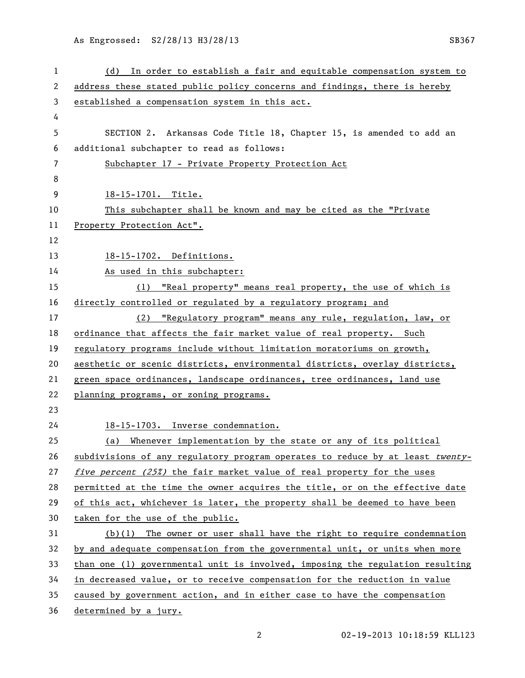As Engrossed: S2/28/13 H3/28/13 SB367

| $\mathbf{1}$ | In order to establish a fair and equitable compensation system to<br>(d)      |
|--------------|-------------------------------------------------------------------------------|
| 2            | address these stated public policy concerns and findings, there is hereby     |
| 3            | established a compensation system in this act.                                |
| 4            |                                                                               |
| 5            | SECTION 2. Arkansas Code Title 18, Chapter 15, is amended to add an           |
| 6            | additional subchapter to read as follows:                                     |
| 7            | Subchapter 17 - Private Property Protection Act                               |
| 8            |                                                                               |
| 9            | 18-15-1701. Title.                                                            |
| 10           | This subchapter shall be known and may be cited as the "Private               |
| 11           | Property Protection Act".                                                     |
| 12           |                                                                               |
| 13           | 18-15-1702. Definitions.                                                      |
| 14           | As used in this subchapter:                                                   |
| 15           | (1) "Real property" means real property, the use of which is                  |
| 16           | directly controlled or regulated by a regulatory program; and                 |
| 17           | (2) "Regulatory program" means any rule, regulation, law, or                  |
| 18           | ordinance that affects the fair market value of real property. Such           |
| 19           | regulatory programs include without limitation moratoriums on growth,         |
| 20           | aesthetic or scenic districts, environmental districts, overlay districts,    |
| 21           | green space ordinances, landscape ordinances, tree ordinances, land use       |
| 22           | planning programs, or zoning programs.                                        |
| 23           |                                                                               |
| 24           | 18-15-1703. Inverse condemnation.                                             |
| 25           | (a) Whenever implementation by the state or any of its political              |
| 26           | subdivisions of any regulatory program operates to reduce by at least twenty- |
| 27           | five percent (25%) the fair market value of real property for the uses        |
| 28           | permitted at the time the owner acquires the title, or on the effective date  |
| 29           | of this act, whichever is later, the property shall be deemed to have been    |
| 30           | taken for the use of the public.                                              |
| 31           | $(b)(1)$ The owner or user shall have the right to require condemnation       |
| 32           | by and adequate compensation from the governmental unit, or units when more   |
| 33           | than one (1) governmental unit is involved, imposing the regulation resulting |
| 34           | in decreased value, or to receive compensation for the reduction in value     |
| 35           | caused by government action, and in either case to have the compensation      |
| 36           | determined by a jury.                                                         |

02-19-2013 10:18:59 KLL123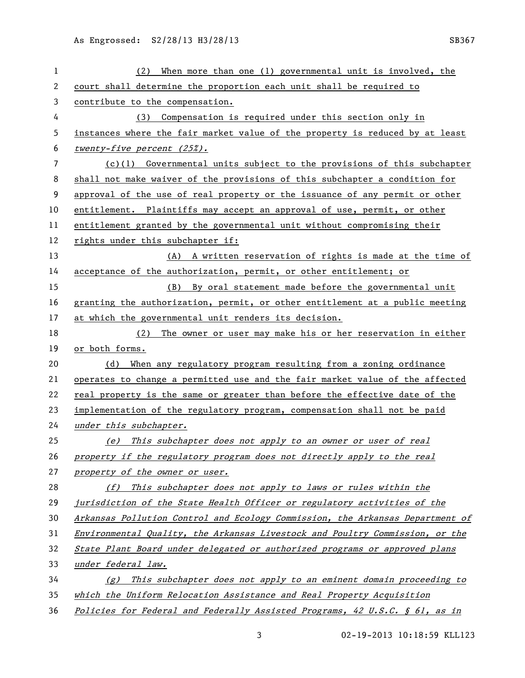As Engrossed: S2/28/13 H3/28/13 SB367

| 1  | When more than one $(1)$ governmental unit is involved, the<br>(2)            |
|----|-------------------------------------------------------------------------------|
| 2  | court shall determine the proportion each unit shall be required to           |
| 3  | contribute to the compensation.                                               |
| 4  | (3) Compensation is required under this section only in                       |
| 5  | instances where the fair market value of the property is reduced by at least  |
| 6  | twenty-five percent $(25\%)$ .                                                |
| 7  | $(c)(1)$ Governmental units subject to the provisions of this subchapter      |
| 8  | shall not make waiver of the provisions of this subchapter a condition for    |
| 9  | approval of the use of real property or the issuance of any permit or other   |
| 10 | entitlement. Plaintiffs may accept an approval of use, permit, or other       |
| 11 | entitlement granted by the governmental unit without compromising their       |
| 12 | rights under this subchapter if:                                              |
| 13 | (A) A written reservation of rights is made at the time of                    |
| 14 | acceptance of the authorization, permit, or other entitlement; or             |
| 15 | (B) By oral statement made before the governmental unit                       |
| 16 | granting the authorization, permit, or other entitlement at a public meeting  |
| 17 | at which the governmental unit renders its decision.                          |
| 18 | (2) The owner or user may make his or her reservation in either               |
| 19 | or both forms.                                                                |
| 20 | (d)<br>When any regulatory program resulting from a zoning ordinance          |
| 21 | operates to change a permitted use and the fair market value of the affected  |
| 22 | real property is the same or greater than before the effective date of the    |
| 23 | implementation of the regulatory program, compensation shall not be paid      |
| 24 | under this subchapter.                                                        |
| 25 | (e) This subchapter does not apply to an owner or user of real                |
| 26 | property if the regulatory program does not directly apply to the real        |
| 27 | property of the owner or user.                                                |
| 28 | (f) This subchapter does not apply to laws or rules within the                |
| 29 | jurisdiction of the State Health Officer or regulatory activities of the      |
| 30 | Arkansas Pollution Control and Ecology Commission, the Arkansas Department of |
| 31 | Environmental Quality, the Arkansas Livestock and Poultry Commission, or the  |
| 32 | State Plant Board under delegated or authorized programs or approved plans    |
| 33 | under federal law.                                                            |
| 34 | $(g)$ This subchapter does not apply to an eminent domain proceeding to       |
| 35 | which the Uniform Relocation Assistance and Real Property Acquisition         |
| 36 | Policies for Federal and Federally Assisted Programs, 42 U.S.C. § 61, as in   |

02-19-2013 10:18:59 KLL123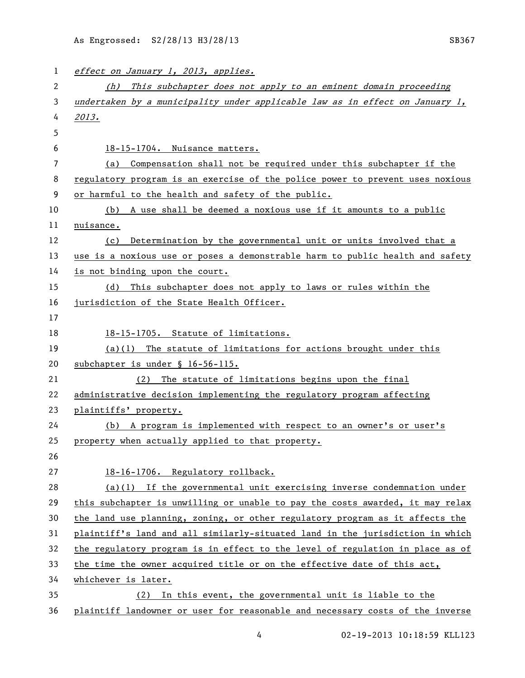| 1  | effect on January 1, 2013, applies.                                           |
|----|-------------------------------------------------------------------------------|
| 2  | This subchapter does not apply to an eminent domain proceeding<br>(h)         |
| 3  | undertaken by a municipality under applicable law as in effect on January 1,  |
| 4  | 2013.                                                                         |
| 5  |                                                                               |
| 6  | 18-15-1704. Nuisance matters.                                                 |
| 7  | (a) Compensation shall not be required under this subchapter if the           |
| 8  | regulatory program is an exercise of the police power to prevent uses noxious |
| 9  | or harmful to the health and safety of the public.                            |
| 10 | (b) A use shall be deemed a noxious use if it amounts to a public             |
| 11 | nuisance.                                                                     |
| 12 | Determination by the governmental unit or units involved that a<br>(c)        |
| 13 | use is a noxious use or poses a demonstrable harm to public health and safety |
| 14 | is not binding upon the court.                                                |
| 15 | (d) This subchapter does not apply to laws or rules within the                |
| 16 | jurisdiction of the State Health Officer.                                     |
| 17 |                                                                               |
| 18 | 18-15-1705. Statute of limitations.                                           |
| 19 | $(a)(1)$ The statute of limitations for actions brought under this            |
| 20 | subchapter is under § 16-56-115.                                              |
| 21 | (2) The statute of limitations begins upon the final                          |
| 22 | administrative decision implementing the regulatory program affecting         |
| 23 | plaintiffs' property.                                                         |
| 24 | (b) A program is implemented with respect to an owner's or user's             |
| 25 | property when actually applied to that property.                              |
| 26 |                                                                               |
| 27 | 18-16-1706. Regulatory rollback.                                              |
| 28 | $(a)(1)$ If the governmental unit exercising inverse condemnation under       |
| 29 | this subchapter is unwilling or unable to pay the costs awarded, it may relax |
| 30 | the land use planning, zoning, or other regulatory program as it affects the  |
| 31 | plaintiff's land and all similarly-situated land in the jurisdiction in which |
| 32 | the regulatory program is in effect to the level of regulation in place as of |
| 33 | the time the owner acquired title or on the effective date of this act,       |
| 34 | whichever is later.                                                           |
| 35 | In this event, the governmental unit is liable to the<br>(2)                  |
| 36 | plaintiff landowner or user for reasonable and necessary costs of the inverse |

4 02-19-2013 10:18:59 KLL123